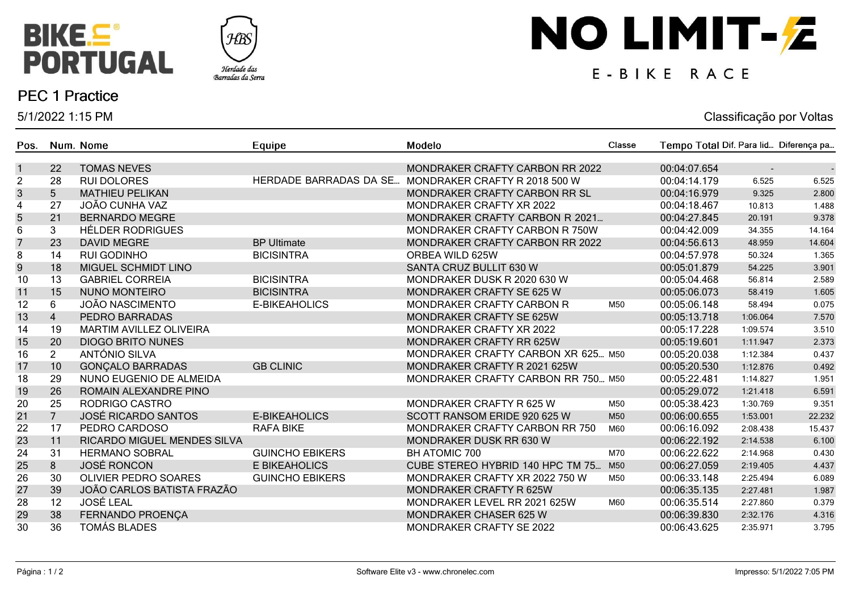



### **PEC 1 Practice**

5/1/2022 1:15 PM

# NO LIMIT-Z

## E-BIKE RACE

#### Classificação por Voltas

| Pos.             |                | Num. Nome                          | Equipe                        | Modelo                                | Classe | Tempo Total Dif. Para lid Diferença pa |          |        |
|------------------|----------------|------------------------------------|-------------------------------|---------------------------------------|--------|----------------------------------------|----------|--------|
| $\mathbf{1}$     | 22             | <b>TOMAS NEVES</b>                 |                               | MONDRAKER CRAFTY CARBON RR 2022       |        | 00:04:07.654                           | $\sim$   |        |
| $\overline{c}$   | 28             | <b>RUI DOLORES</b>                 | <b>HERDADE BARRADAS DA SE</b> | MONDRAKER CRAFTY R 2018 500 W         |        | 00:04:14.179                           | 6.525    | 6.525  |
| $\sqrt{3}$       | 5              | <b>MATHIEU PELIKAN</b>             |                               | MONDRAKER CRAFTY CARBON RR SL         |        | 00:04:16.979                           | 9.325    | 2.800  |
| 4                | 27             | <b>JOÃO CUNHA VAZ</b>              |                               | MONDRAKER CRAFTY XR 2022              |        | 00:04:18.467                           | 10.813   | 1.488  |
| 5                | 21             | <b>BERNARDO MEGRE</b>              |                               | MONDRAKER CRAFTY CARBON R 2021        |        | 00:04:27.845                           | 20.191   | 9.378  |
| 6                | 3              | <b>HÉLDER RODRIGUES</b>            |                               | MONDRAKER CRAFTY CARBON R 750W        |        | 00:04:42.009                           | 34.355   | 14.164 |
| $\overline{7}$   | 23             | <b>DAVID MEGRE</b>                 | <b>BP Ultimate</b>            | MONDRAKER CRAFTY CARBON RR 2022       |        | 00:04:56.613                           | 48.959   | 14.604 |
| 8                | 14             | <b>RUI GODINHO</b>                 | <b>BICISINTRA</b>             | ORBEA WILD 625W                       |        | 00:04:57.978                           | 50.324   | 1.365  |
| $\boldsymbol{9}$ | 18             | MIGUEL SCHMIDT LINO                |                               | SANTA CRUZ BULLIT 630 W               |        | 00:05:01.879                           | 54.225   | 3.901  |
| 10               | 13             | <b>GABRIEL CORREIA</b>             | <b>BICISINTRA</b>             | MONDRAKER DUSK R 2020 630 W           |        | 00:05:04.468                           | 56.814   | 2.589  |
| 11               | 15             | <b>NUNO MONTEIRO</b>               | <b>BICISINTRA</b>             | MONDRAKER CRAFTY SE 625 W             |        | 00:05:06.073                           | 58.419   | 1.605  |
| 12               | 6              | <b>JOÃO NASCIMENTO</b>             | <b>E-BIKEAHOLICS</b>          | MONDRAKER CRAFTY CARBON R             | M50    | 00:05:06.148                           | 58.494   | 0.075  |
| 13               | $\overline{4}$ | PEDRO BARRADAS                     |                               | MONDRAKER CRAFTY SE 625W              |        | 00:05:13.718                           | 1:06.064 | 7.570  |
| 14               | 19             | <b>MARTIM AVILLEZ OLIVEIRA</b>     |                               | MONDRAKER CRAFTY XR 2022              |        | 00:05:17.228                           | 1:09.574 | 3.510  |
| 15               | 20             | <b>DIOGO BRITO NUNES</b>           |                               | <b>MONDRAKER CRAFTY RR 625W</b>       |        | 00:05:19.601                           | 1:11.947 | 2.373  |
| 16               | $\overline{2}$ | ANTÓNIO SILVA                      |                               | MONDRAKER CRAFTY CARBON XR 625 M50    |        | 00:05:20.038                           | 1:12.384 | 0.437  |
| 17               | 10             | <b>GONÇALO BARRADAS</b>            | <b>GB CLINIC</b>              | MONDRAKER CRAFTY R 2021 625W          |        | 00:05:20.530                           | 1:12.876 | 0.492  |
| 18               | 29             | NUNO EUGENIO DE ALMEIDA            |                               | MONDRAKER CRAFTY CARBON RR 750 M50    |        | 00:05:22.481                           | 1:14.827 | 1.951  |
| 19               | 26             | ROMAIN ALEXANDRE PINO              |                               |                                       |        | 00:05:29.072                           | 1:21.418 | 6.591  |
| 20               | 25             | RODRIGO CASTRO                     |                               | MONDRAKER CRAFTY R 625 W              | M50    | 00:05:38.423                           | 1:30.769 | 9.351  |
| 21               | $\overline{7}$ | <b>JOSÉ RICARDO SANTOS</b>         | <b>E-BIKEAHOLICS</b>          | SCOTT RANSOM ERIDE 920 625 W          | M50    | 00:06:00.655                           | 1:53.001 | 22.232 |
| 22               | 17             | PEDRO CARDOSO                      | <b>RAFA BIKE</b>              | <b>MONDRAKER CRAFTY CARBON RR 750</b> | M60    | 00:06:16.092                           | 2:08.438 | 15.437 |
| 23               | 11             | <b>RICARDO MIGUEL MENDES SILVA</b> |                               | MONDRAKER DUSK RR 630 W               |        | 00:06:22.192                           | 2:14.538 | 6.100  |
| 24               | 31             | <b>HERMANO SOBRAL</b>              | <b>GUINCHO EBIKERS</b>        | BH ATOMIC 700                         | M70    | 00:06:22.622                           | 2:14.968 | 0.430  |
| 25               | 8              | <b>JOSÉ RONCON</b>                 | <b>E BIKEAHOLICS</b>          | CUBE STEREO HYBRID 140 HPC TM 75      | M50    | 00:06:27.059                           | 2:19.405 | 4.437  |
| 26               | 30             | <b>OLIVIER PEDRO SOARES</b>        | <b>GUINCHO EBIKERS</b>        | MONDRAKER CRAFTY XR 2022 750 W        | M50    | 00:06:33.148                           | 2:25.494 | 6.089  |
| 27               | 39             | JOÃO CARLOS BATISTA FRAZÃO         |                               | <b>MONDRAKER CRAFTY R 625W</b>        |        | 00:06:35.135                           | 2:27.481 | 1.987  |
| 28               | 12             | <b>JOSÉ LEAL</b>                   |                               | MONDRAKER LEVEL RR 2021 625W          | M60    | 00:06:35.514                           | 2:27.860 | 0.379  |
| 29               | 38             | FERNANDO PROENÇA                   |                               | <b>MONDRAKER CHASER 625 W</b>         |        | 00:06:39.830                           | 2:32.176 | 4.316  |
| 30               | 36             | <b>TOMÁS BLADES</b>                |                               | <b>MONDRAKER CRAFTY SE 2022</b>       |        | 00:06:43.625                           | 2:35.971 | 3.795  |